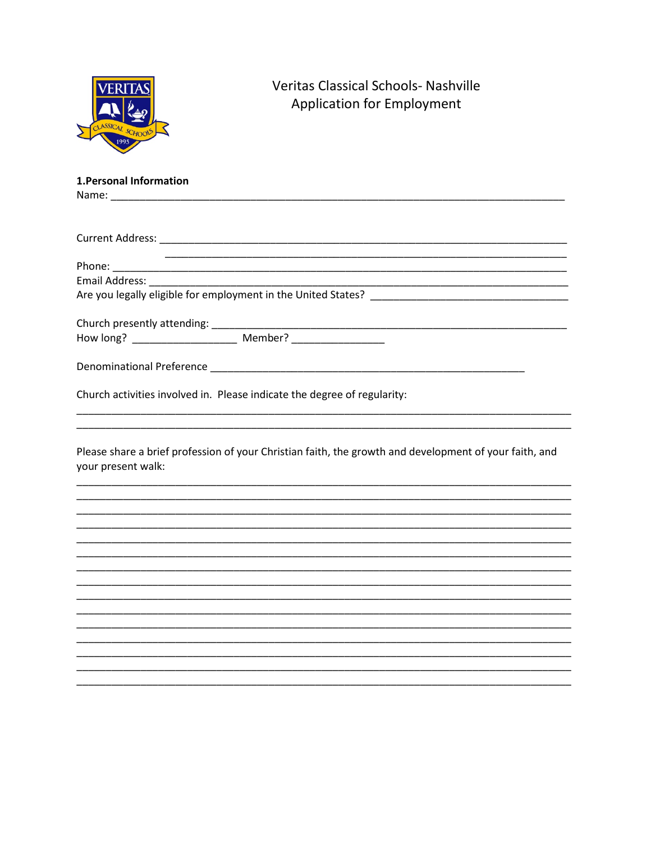|                         | Veritas Classical Schools- Nashville<br><b>Application for Employment</b>                                                                                                                         |
|-------------------------|---------------------------------------------------------------------------------------------------------------------------------------------------------------------------------------------------|
| 1. Personal Information |                                                                                                                                                                                                   |
|                         |                                                                                                                                                                                                   |
|                         |                                                                                                                                                                                                   |
|                         |                                                                                                                                                                                                   |
|                         |                                                                                                                                                                                                   |
|                         |                                                                                                                                                                                                   |
|                         |                                                                                                                                                                                                   |
|                         | Church activities involved in. Please indicate the degree of regularity:<br><u> 1989 - Johann Stoff, deutscher Stoff, der Stoff, der Stoff, der Stoff, der Stoff, der Stoff, der Stoff, der S</u> |
| your present walk:      | Please share a brief profession of your Christian faith, the growth and development of your faith, and                                                                                            |
|                         |                                                                                                                                                                                                   |
|                         |                                                                                                                                                                                                   |
|                         |                                                                                                                                                                                                   |
|                         |                                                                                                                                                                                                   |
|                         |                                                                                                                                                                                                   |
|                         |                                                                                                                                                                                                   |
|                         |                                                                                                                                                                                                   |
|                         |                                                                                                                                                                                                   |
|                         |                                                                                                                                                                                                   |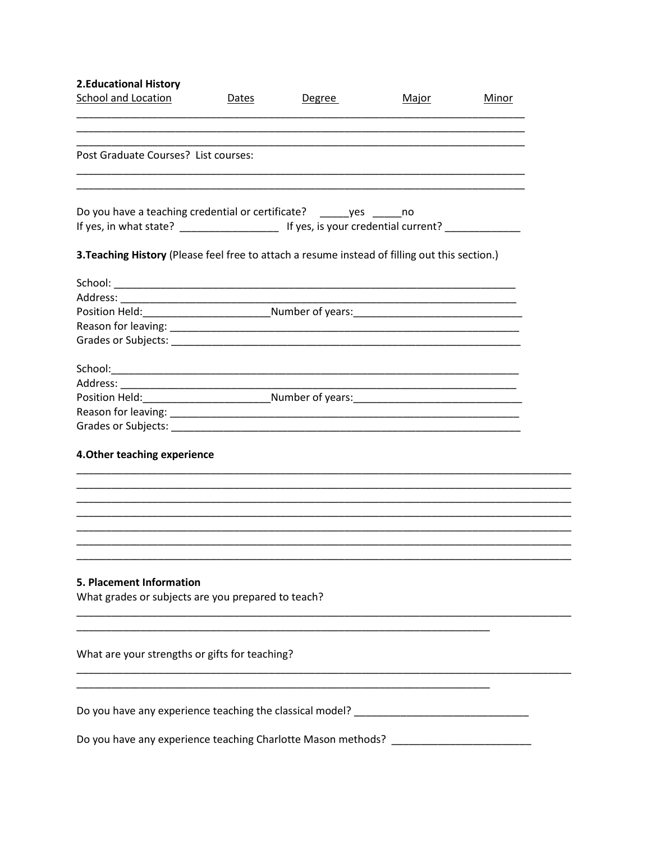| <b>2.Educational History</b>                                                                        |       |        |              |       |
|-----------------------------------------------------------------------------------------------------|-------|--------|--------------|-------|
| <b>School and Location</b>                                                                          | Dates | Degree | <u>Major</u> | Minor |
|                                                                                                     |       |        |              |       |
|                                                                                                     |       |        |              |       |
| Post Graduate Courses? List courses:                                                                |       |        |              |       |
|                                                                                                     |       |        |              |       |
| Do you have a teaching credential or certificate? _______ yes ______ no                             |       |        |              |       |
|                                                                                                     |       |        |              |       |
| 3. Teaching History (Please feel free to attach a resume instead of filling out this section.)      |       |        |              |       |
|                                                                                                     |       |        |              |       |
|                                                                                                     |       |        |              |       |
| Position Held: _________________________________Number of years: __________________________________ |       |        |              |       |
|                                                                                                     |       |        |              |       |
|                                                                                                     |       |        |              |       |
|                                                                                                     |       |        |              |       |
|                                                                                                     |       |        |              |       |
|                                                                                                     |       |        |              |       |
|                                                                                                     |       |        |              |       |
|                                                                                                     |       |        |              |       |
| 4. Other teaching experience                                                                        |       |        |              |       |
|                                                                                                     |       |        |              |       |
|                                                                                                     |       |        |              |       |
|                                                                                                     |       |        |              |       |
|                                                                                                     |       |        |              |       |
|                                                                                                     |       |        |              |       |
| 5. Placement Information                                                                            |       |        |              |       |
| What grades or subjects are you prepared to teach?                                                  |       |        |              |       |
|                                                                                                     |       |        |              |       |
| What are your strengths or gifts for teaching?                                                      |       |        |              |       |
|                                                                                                     |       |        |              |       |
|                                                                                                     |       |        |              |       |
| Do you have any experience teaching the classical model? _______________________                    |       |        |              |       |
| Do you have any experience teaching Charlotte Mason methods? ___________________                    |       |        |              |       |
|                                                                                                     |       |        |              |       |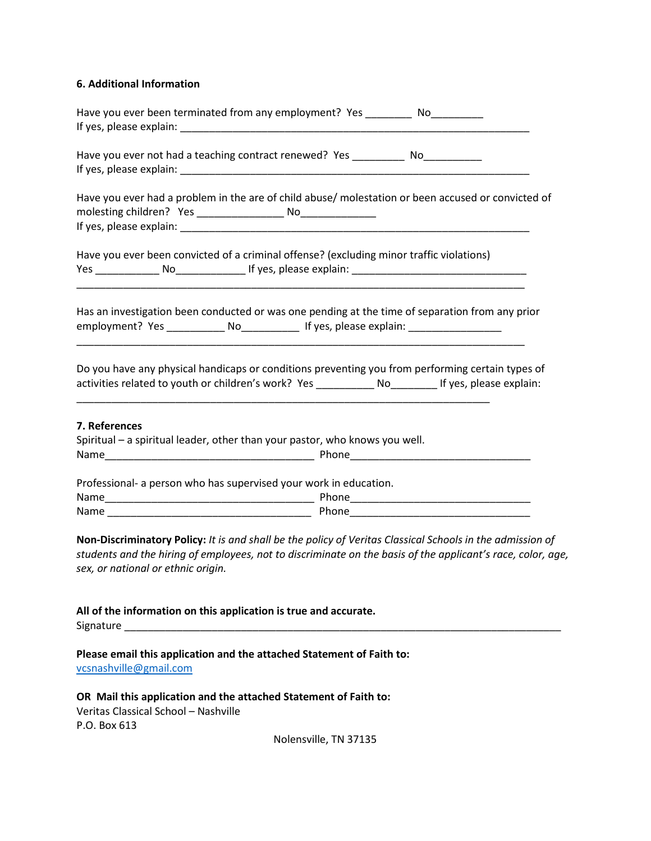## **6. Additional Information**

| Have you ever been terminated from any employment? Yes __________ No___________                                                                                                                                                                                                                    |
|----------------------------------------------------------------------------------------------------------------------------------------------------------------------------------------------------------------------------------------------------------------------------------------------------|
| Have you ever not had a teaching contract renewed? Yes _____________ No__________                                                                                                                                                                                                                  |
|                                                                                                                                                                                                                                                                                                    |
| Have you ever had a problem in the are of child abuse/ molestation or been accused or convicted of                                                                                                                                                                                                 |
|                                                                                                                                                                                                                                                                                                    |
| Have you ever been convicted of a criminal offense? (excluding minor traffic violations)                                                                                                                                                                                                           |
| Has an investigation been conducted or was one pending at the time of separation from any prior<br>employment? Yes ______________ No_______________ If yes, please explain: __________________________<br><u> 1989 - Johann Stoff, amerikansk politiker (d. 1989)</u>                              |
| Do you have any physical handicaps or conditions preventing you from performing certain types of<br>activities related to youth or children's work? Yes ____________ No_________ If yes, please explain:                                                                                           |
| 7. References<br>Spiritual – a spiritual leader, other than your pastor, who knows you well.                                                                                                                                                                                                       |
| Professional- a person who has supervised your work in education.                                                                                                                                                                                                                                  |
|                                                                                                                                                                                                                                                                                                    |
|                                                                                                                                                                                                                                                                                                    |
| Non-Discriminatory Policy: It is and shall be the policy of Veritas Classical Schools in the admission of<br>students and the hiring of employees, not to discriminate on the basis of the applicant's race, color, age,<br>sex, or national or ethnic origin.                                     |
| All of the information on this application is true and accurate.<br>Signature experience and the state of the state of the state of the state of the state of the state of the state of the state of the state of the state of the state of the state of the state of the state of the state of th |
| Please email this application and the attached Statement of Faith to:<br>vcsnashville@gmail.com                                                                                                                                                                                                    |
| OR Mail this application and the attached Statement of Faith to:<br>Veritas Classical School - Nashville<br>P.O. Box 613                                                                                                                                                                           |
| Nolensville, TN 37135                                                                                                                                                                                                                                                                              |
|                                                                                                                                                                                                                                                                                                    |